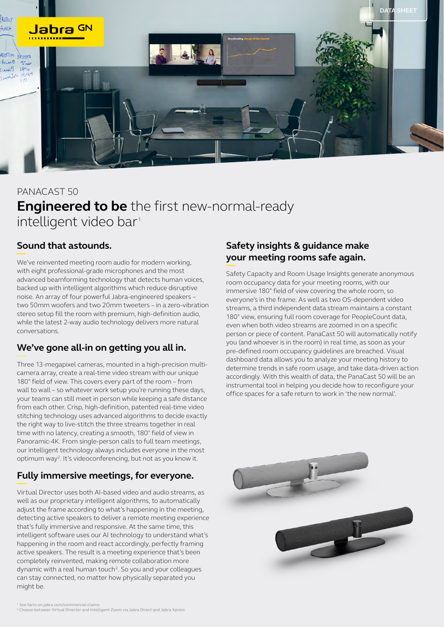

# PANACAST 50 **Engineered to be** the first new-normal-ready intelligent video bar<sup>1</sup>

## **Sound that astounds.**

We've reinvented meeting room audio for modern working, with eight professional-grade microphones and the most advanced beamforming technology that detects human voices, backed up with intelligent algorithms which reduce disruptive noise. An array of four powerful Jabra-engineered speakers – two 50mm woofers and two 20mm tweeters – in a zero-vibration stereo setup fill the room with premium, high-definition audio, while the latest 2-way audio technology delivers more natural conversations.

## **We've gone all-in on getting you all in.**

Three 13-megapixel cameras, mounted in a high-precision multicamera array, create a real-time video stream with our unique 180° field of view. This covers every part of the room – from wall to wall – so whatever work setup you're running these days, your teams can still meet in person while keeping a safe distance from each other. Crisp, high-definition, patented real-time video stitching technology uses advanced algorithms to decide exactly the right way to live-stitch the three streams together in real time with no latency, creating a smooth, 180° field of view in Panoramic-4K. From single-person calls to full team meetings, our intelligent technology always includes everyone in the most optimum way<sup>2</sup>. It's videoconferencing, but not as you know it.

## **Fully immersive meetings, for everyone.**

Virtual Director uses both AI-based video and audio streams, as well as our proprietary intelligent algorithms, to automatically adjust the frame according to what's happening in the meeting, detecting active speakers to deliver a remote meeting experience that's fully immersive and responsive. At the same time, this intelligent software uses our AI technology to understand what's happening in the room and react accordingly, perfectly framing active speakers. The result is a meeting experience that's been completely reinvented, making remote collaboration more dynamic with a real human touch<sup>2</sup>. So you and your colleagues can stay connected, no matter how physically separated you might be.

## **Safety insights & guidance make your meeting rooms safe again.**

Safety Capacity and Room Usage Insights generate anonymous room occupancy data for your meeting rooms, with our immersive 180° field of view covering the whole room, so everyone's in the frame. As well as two OS-dependent video streams, a third independent data stream maintains a constant 180° view, ensuring full room coverage for PeopleCount data, even when both video streams are zoomed in on a specific person or piece of content. PanaCast 50 will automatically notify you (and whoever is in the room) in real time, as soon as your pre-defined room occupancy guidelines are breached. Visual dashboard data allows you to analyze your meeting history to determine trends in safe room usage, and take data-driven action accordingly. With this wealth of data, the PanaCast 50 will be an instrumental tool in helping you decide how to reconfigure your office spaces for a safe return to work in 'the new normal'.

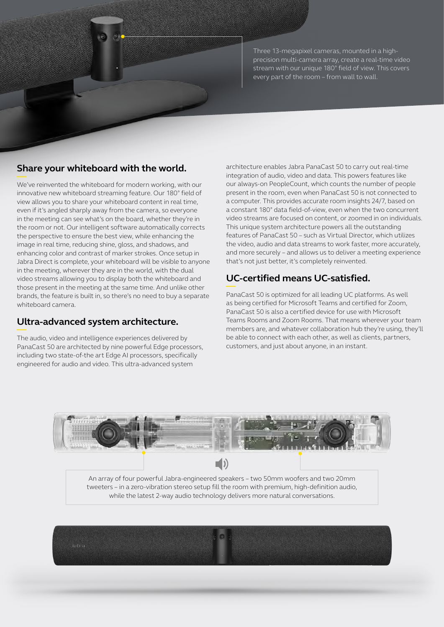

Three 13-megapixel cameras, mounted in a highprecision multi-camera array, create a real-time video stream with our unique 180° field of view. This covers every part of the room – from wall to wall.

#### **Share your whiteboard with the world.**

We've reinvented the whiteboard for modern working, with our innovative new whiteboard streaming feature. Our 180° field of view allows you to share your whiteboard content in real time, even if it's angled sharply away from the camera, so everyone in the meeting can see what's on the board, whether they're in the room or not. Our intelligent software automatically corrects the perspective to ensure the best view, while enhancing the image in real time, reducing shine, gloss, and shadows, and enhancing color and contrast of marker strokes. Once setup in Jabra Direct is complete, your whiteboard will be visible to anyone in the meeting, wherever they are in the world, with the dual video streams allowing you to display both the whiteboard and those present in the meeting at the same time. And unlike other brands, the feature is built in, so there's no need to buy a separate whiteboard camera.

#### **Ultra-advanced system architecture.**

The audio, video and intelligence experiences delivered by PanaCast 50 are architected by nine powerful Edge processors, including two state-of-the art Edge AI processors, specifically engineered for audio and video. This ultra-advanced system

architecture enables Jabra PanaCast 50 to carry out real-time integration of audio, video and data. This powers features like our always-on PeopleCount, which counts the number of people present in the room, even when PanaCast 50 is not connected to a computer. This provides accurate room insights 24/7, based on a constant 180° data field-of-view, even when the two concurrent video streams are focused on content, or zoomed in on individuals. This unique system architecture powers all the outstanding features of PanaCast 50 – such as Virtual Director, which utilizes the video, audio and data streams to work faster, more accurately, and more securely – and allows us to deliver a meeting experience that's not just better, it's completely reinvented.

## **UC-certified means UC-satisfied.**

PanaCast 50 is optimized for all leading UC platforms. As well as being certified for Microsoft Teams and certified for Zoom, PanaCast 50 is also a certified device for use with Microsoft Teams Rooms and Zoom Rooms. That means wherever your team members are, and whatever collaboration hub they're using, they'll be able to connect with each other, as well as clients, partners, customers, and just about anyone, in an instant.